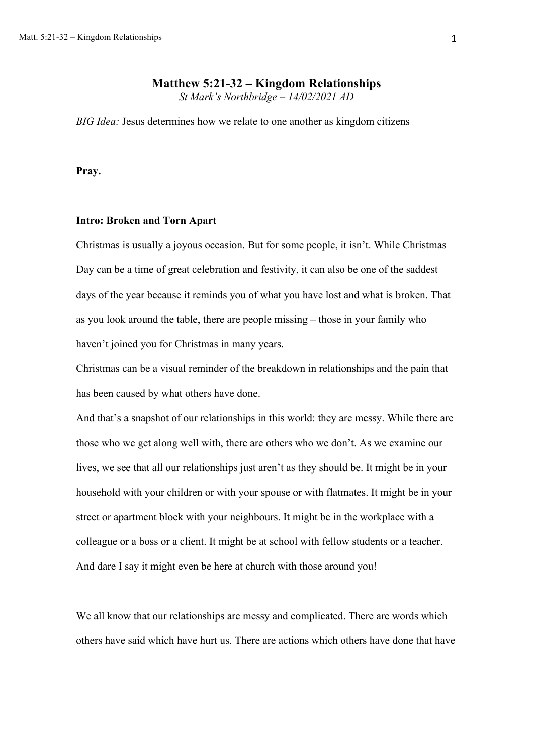# **Matthew 5:21-32 – Kingdom Relationships**

*St Mark's Northbridge – 14/02/2021 AD*

*BIG Idea:* Jesus determines how we relate to one another as kingdom citizens

**Pray.**

#### **Intro: Broken and Torn Apart**

Christmas is usually a joyous occasion. But for some people, it isn't. While Christmas Day can be a time of great celebration and festivity, it can also be one of the saddest days of the year because it reminds you of what you have lost and what is broken. That as you look around the table, there are people missing – those in your family who haven't joined you for Christmas in many years.

Christmas can be a visual reminder of the breakdown in relationships and the pain that has been caused by what others have done.

And that's a snapshot of our relationships in this world: they are messy. While there are those who we get along well with, there are others who we don't. As we examine our lives, we see that all our relationships just aren't as they should be. It might be in your household with your children or with your spouse or with flatmates. It might be in your street or apartment block with your neighbours. It might be in the workplace with a colleague or a boss or a client. It might be at school with fellow students or a teacher. And dare I say it might even be here at church with those around you!

We all know that our relationships are messy and complicated. There are words which others have said which have hurt us. There are actions which others have done that have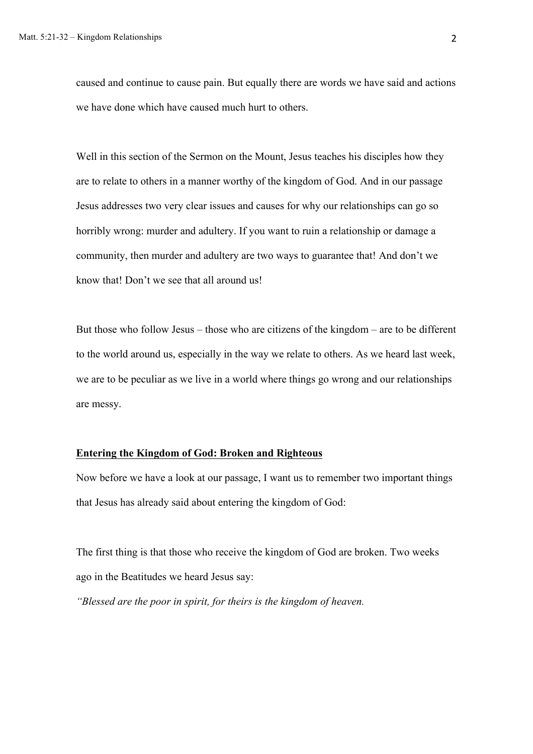caused and continue to cause pain. But equally there are words we have said and actions we have done which have caused much hurt to others.

Well in this section of the Sermon on the Mount, Jesus teaches his disciples how they are to relate to others in a manner worthy of the kingdom of God. And in our passage Jesus addresses two very clear issues and causes for why our relationships can go so horribly wrong: murder and adultery. If you want to ruin a relationship or damage a community, then murder and adultery are two ways to guarantee that! And don't we know that! Don't we see that all around us!

But those who follow Jesus – those who are citizens of the kingdom – are to be different to the world around us, especially in the way we relate to others. As we heard last week, we are to be peculiar as we live in a world where things go wrong and our relationships are messy.

## **Entering the Kingdom of God: Broken and Righteous**

Now before we have a look at our passage, I want us to remember two important things that Jesus has already said about entering the kingdom of God:

The first thing is that those who receive the kingdom of God are broken. Two weeks ago in the Beatitudes we heard Jesus say:

*"Blessed are the poor in spirit, for theirs is the kingdom of heaven.*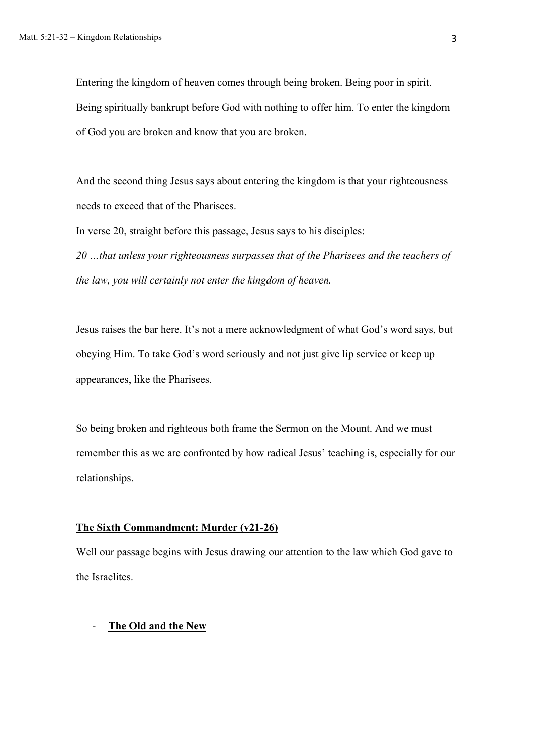Entering the kingdom of heaven comes through being broken. Being poor in spirit. Being spiritually bankrupt before God with nothing to offer him. To enter the kingdom of God you are broken and know that you are broken.

And the second thing Jesus says about entering the kingdom is that your righteousness needs to exceed that of the Pharisees.

In verse 20, straight before this passage, Jesus says to his disciples:

*20 …that unless your righteousness surpasses that of the Pharisees and the teachers of the law, you will certainly not enter the kingdom of heaven.*

Jesus raises the bar here. It's not a mere acknowledgment of what God's word says, but obeying Him. To take God's word seriously and not just give lip service or keep up appearances, like the Pharisees.

So being broken and righteous both frame the Sermon on the Mount. And we must remember this as we are confronted by how radical Jesus' teaching is, especially for our relationships.

#### **The Sixth Commandment: Murder (v21-26)**

Well our passage begins with Jesus drawing our attention to the law which God gave to the Israelites.

## - **The Old and the New**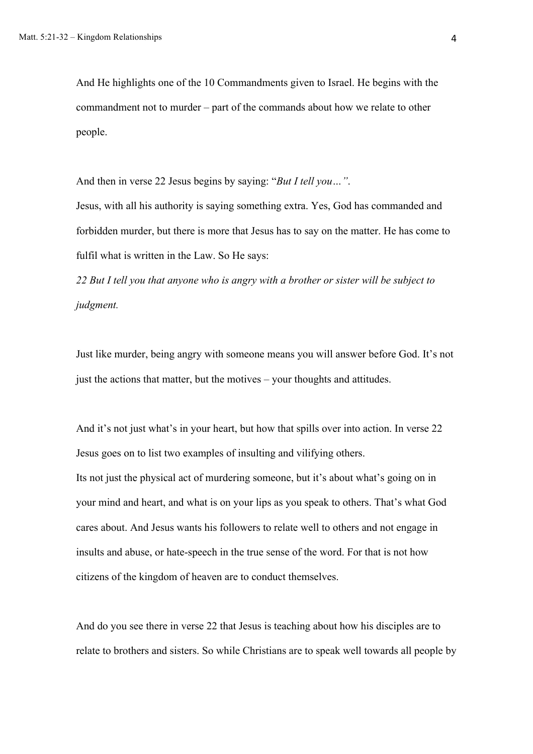And He highlights one of the 10 Commandments given to Israel. He begins with the commandment not to murder – part of the commands about how we relate to other people.

And then in verse 22 Jesus begins by saying: "*But I tell you…"*. Jesus, with all his authority is saying something extra. Yes, God has commanded and forbidden murder, but there is more that Jesus has to say on the matter. He has come to fulfil what is written in the Law. So He says:

*22 But I tell you that anyone who is angry with a brother or sister will be subject to judgment.*

Just like murder, being angry with someone means you will answer before God. It's not just the actions that matter, but the motives – your thoughts and attitudes.

And it's not just what's in your heart, but how that spills over into action. In verse 22 Jesus goes on to list two examples of insulting and vilifying others. Its not just the physical act of murdering someone, but it's about what's going on in your mind and heart, and what is on your lips as you speak to others. That's what God cares about. And Jesus wants his followers to relate well to others and not engage in insults and abuse, or hate-speech in the true sense of the word. For that is not how citizens of the kingdom of heaven are to conduct themselves.

And do you see there in verse 22 that Jesus is teaching about how his disciples are to relate to brothers and sisters. So while Christians are to speak well towards all people by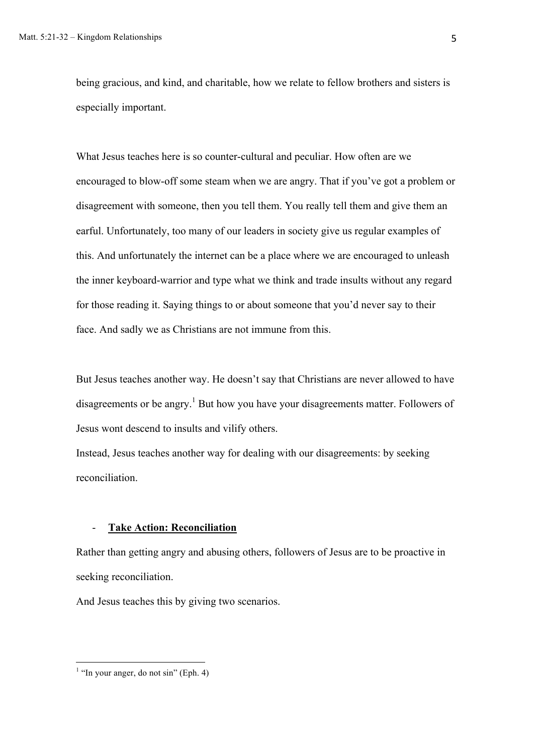being gracious, and kind, and charitable, how we relate to fellow brothers and sisters is especially important.

What Jesus teaches here is so counter-cultural and peculiar. How often are we encouraged to blow-off some steam when we are angry. That if you've got a problem or disagreement with someone, then you tell them. You really tell them and give them an earful. Unfortunately, too many of our leaders in society give us regular examples of this. And unfortunately the internet can be a place where we are encouraged to unleash the inner keyboard-warrior and type what we think and trade insults without any regard for those reading it. Saying things to or about someone that you'd never say to their face. And sadly we as Christians are not immune from this.

But Jesus teaches another way. He doesn't say that Christians are never allowed to have disagreements or be angry.<sup>1</sup> But how you have your disagreements matter. Followers of Jesus wont descend to insults and vilify others.

Instead, Jesus teaches another way for dealing with our disagreements: by seeking reconciliation.

#### - **Take Action: Reconciliation**

Rather than getting angry and abusing others, followers of Jesus are to be proactive in seeking reconciliation.

And Jesus teaches this by giving two scenarios.

<sup>&</sup>lt;sup>1</sup> "In your anger, do not sin" (Eph. 4)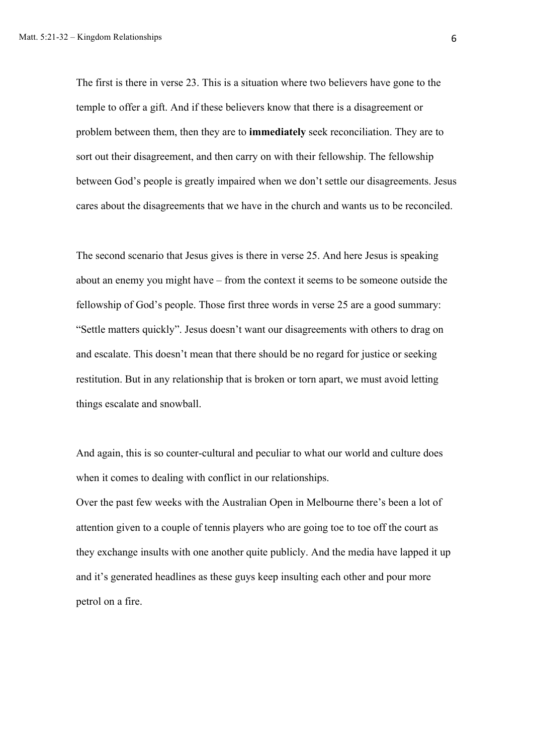The first is there in verse 23. This is a situation where two believers have gone to the temple to offer a gift. And if these believers know that there is a disagreement or problem between them, then they are to **immediately** seek reconciliation. They are to sort out their disagreement, and then carry on with their fellowship. The fellowship between God's people is greatly impaired when we don't settle our disagreements. Jesus cares about the disagreements that we have in the church and wants us to be reconciled.

The second scenario that Jesus gives is there in verse 25. And here Jesus is speaking about an enemy you might have – from the context it seems to be someone outside the fellowship of God's people. Those first three words in verse 25 are a good summary: "Settle matters quickly". Jesus doesn't want our disagreements with others to drag on and escalate. This doesn't mean that there should be no regard for justice or seeking restitution. But in any relationship that is broken or torn apart, we must avoid letting things escalate and snowball.

And again, this is so counter-cultural and peculiar to what our world and culture does when it comes to dealing with conflict in our relationships.

Over the past few weeks with the Australian Open in Melbourne there's been a lot of attention given to a couple of tennis players who are going toe to toe off the court as they exchange insults with one another quite publicly. And the media have lapped it up and it's generated headlines as these guys keep insulting each other and pour more petrol on a fire.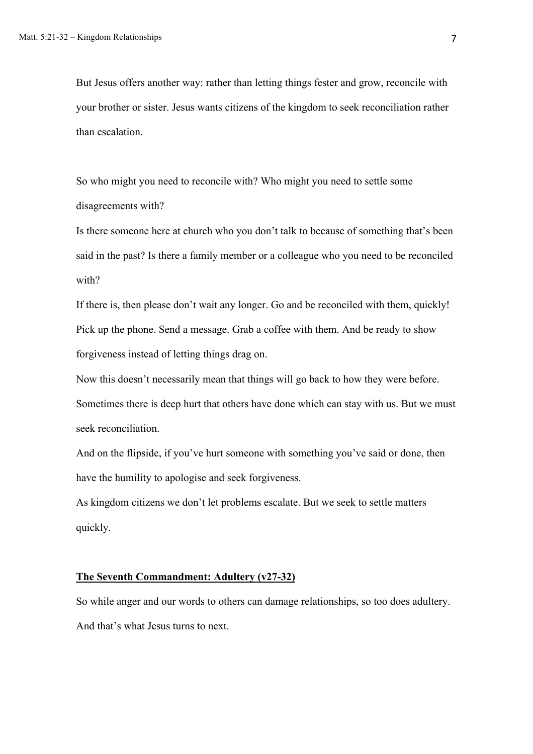But Jesus offers another way: rather than letting things fester and grow, reconcile with your brother or sister. Jesus wants citizens of the kingdom to seek reconciliation rather than escalation.

So who might you need to reconcile with? Who might you need to settle some disagreements with?

Is there someone here at church who you don't talk to because of something that's been said in the past? Is there a family member or a colleague who you need to be reconciled with?

If there is, then please don't wait any longer. Go and be reconciled with them, quickly! Pick up the phone. Send a message. Grab a coffee with them. And be ready to show forgiveness instead of letting things drag on.

Now this doesn't necessarily mean that things will go back to how they were before. Sometimes there is deep hurt that others have done which can stay with us. But we must seek reconciliation.

And on the flipside, if you've hurt someone with something you've said or done, then have the humility to apologise and seek forgiveness.

As kingdom citizens we don't let problems escalate. But we seek to settle matters quickly.

## **The Seventh Commandment: Adultery (v27-32)**

So while anger and our words to others can damage relationships, so too does adultery. And that's what Jesus turns to next.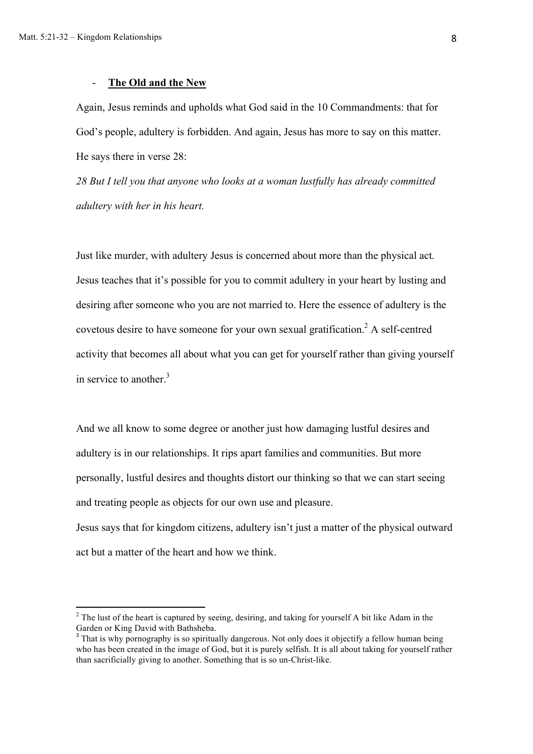## - **The Old and the New**

Again, Jesus reminds and upholds what God said in the 10 Commandments: that for God's people, adultery is forbidden. And again, Jesus has more to say on this matter. He says there in verse 28:

*28 But I tell you that anyone who looks at a woman lustfully has already committed adultery with her in his heart.*

Just like murder, with adultery Jesus is concerned about more than the physical act. Jesus teaches that it's possible for you to commit adultery in your heart by lusting and desiring after someone who you are not married to. Here the essence of adultery is the covetous desire to have someone for your own sexual gratification. <sup>2</sup> A self-centred activity that becomes all about what you can get for yourself rather than giving yourself in service to another.<sup>3</sup>

And we all know to some degree or another just how damaging lustful desires and adultery is in our relationships. It rips apart families and communities. But more personally, lustful desires and thoughts distort our thinking so that we can start seeing and treating people as objects for our own use and pleasure.

Jesus says that for kingdom citizens, adultery isn't just a matter of the physical outward act but a matter of the heart and how we think.

 $2$  The lust of the heart is captured by seeing, desiring, and taking for yourself A bit like Adam in the Garden or King David with Bathsheba.

<sup>&</sup>lt;sup>3</sup> That is why pornography is so spiritually dangerous. Not only does it objectify a fellow human being who has been created in the image of God, but it is purely selfish. It is all about taking for yourself rather than sacrificially giving to another. Something that is so un-Christ-like.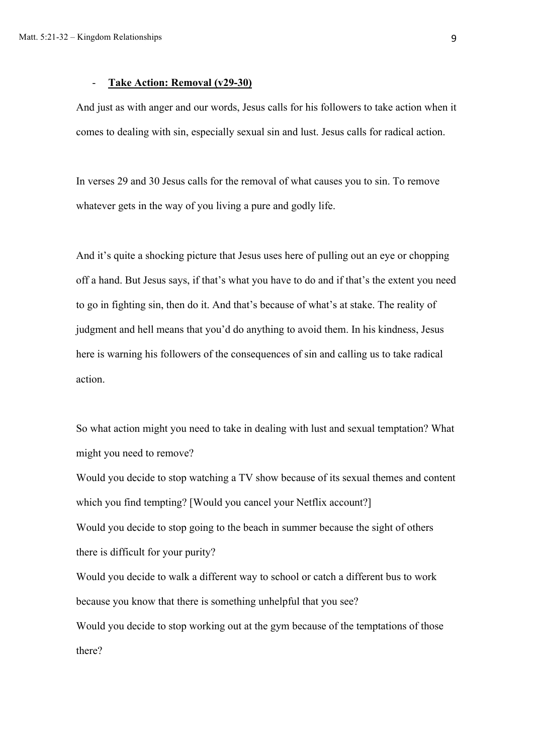## - **Take Action: Removal (v29-30)**

And just as with anger and our words, Jesus calls for his followers to take action when it comes to dealing with sin, especially sexual sin and lust. Jesus calls for radical action.

In verses 29 and 30 Jesus calls for the removal of what causes you to sin. To remove whatever gets in the way of you living a pure and godly life.

And it's quite a shocking picture that Jesus uses here of pulling out an eye or chopping off a hand. But Jesus says, if that's what you have to do and if that's the extent you need to go in fighting sin, then do it. And that's because of what's at stake. The reality of judgment and hell means that you'd do anything to avoid them. In his kindness, Jesus here is warning his followers of the consequences of sin and calling us to take radical action.

So what action might you need to take in dealing with lust and sexual temptation? What might you need to remove?

Would you decide to stop watching a TV show because of its sexual themes and content which you find tempting? [Would you cancel your Netflix account?] Would you decide to stop going to the beach in summer because the sight of others there is difficult for your purity? Would you decide to walk a different way to school or catch a different bus to work because you know that there is something unhelpful that you see? Would you decide to stop working out at the gym because of the temptations of those there?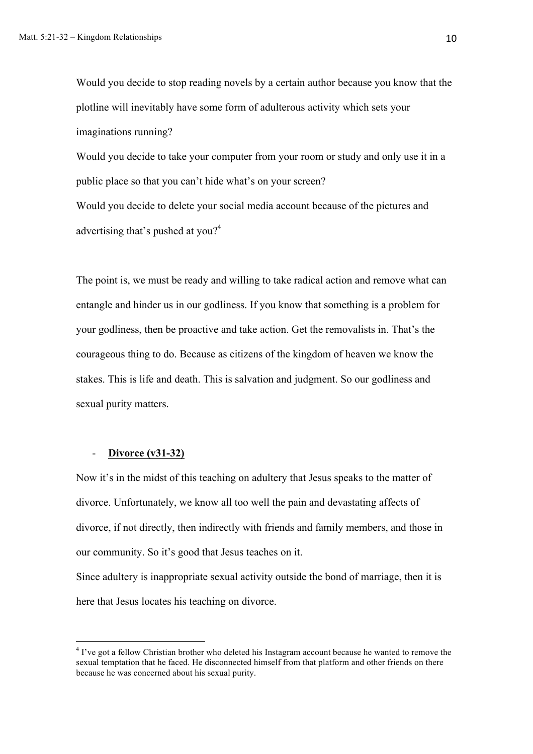Would you decide to stop reading novels by a certain author because you know that the plotline will inevitably have some form of adulterous activity which sets your imaginations running?

Would you decide to take your computer from your room or study and only use it in a public place so that you can't hide what's on your screen?

Would you decide to delete your social media account because of the pictures and advertising that's pushed at you?<sup>4</sup>

The point is, we must be ready and willing to take radical action and remove what can entangle and hinder us in our godliness. If you know that something is a problem for your godliness, then be proactive and take action. Get the removalists in. That's the courageous thing to do. Because as citizens of the kingdom of heaven we know the stakes. This is life and death. This is salvation and judgment. So our godliness and sexual purity matters.

## - **Divorce (v31-32)**

Now it's in the midst of this teaching on adultery that Jesus speaks to the matter of divorce. Unfortunately, we know all too well the pain and devastating affects of divorce, if not directly, then indirectly with friends and family members, and those in our community. So it's good that Jesus teaches on it.

Since adultery is inappropriate sexual activity outside the bond of marriage, then it is here that Jesus locates his teaching on divorce.

<sup>&</sup>lt;sup>4</sup> I've got a fellow Christian brother who deleted his Instagram account because he wanted to remove the sexual temptation that he faced. He disconnected himself from that platform and other friends on there because he was concerned about his sexual purity.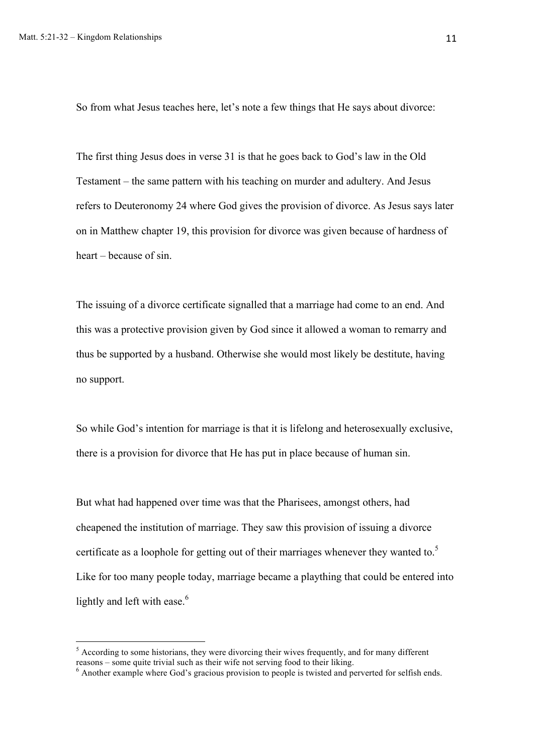So from what Jesus teaches here, let's note a few things that He says about divorce:

The first thing Jesus does in verse 31 is that he goes back to God's law in the Old Testament – the same pattern with his teaching on murder and adultery. And Jesus refers to Deuteronomy 24 where God gives the provision of divorce. As Jesus says later on in Matthew chapter 19, this provision for divorce was given because of hardness of heart – because of sin.

The issuing of a divorce certificate signalled that a marriage had come to an end. And this was a protective provision given by God since it allowed a woman to remarry and thus be supported by a husband. Otherwise she would most likely be destitute, having no support.

So while God's intention for marriage is that it is lifelong and heterosexually exclusive, there is a provision for divorce that He has put in place because of human sin.

But what had happened over time was that the Pharisees, amongst others, had cheapened the institution of marriage. They saw this provision of issuing a divorce certificate as a loophole for getting out of their marriages whenever they wanted to.<sup>5</sup> Like for too many people today, marriage became a plaything that could be entered into lightly and left with ease.<sup>6</sup>

 $5$  According to some historians, they were divorcing their wives frequently, and for many different reasons – some quite trivial such as their wife not serving food to their liking.

 $\epsilon$  Another example where God's gracious provision to people is twisted and perverted for selfish ends.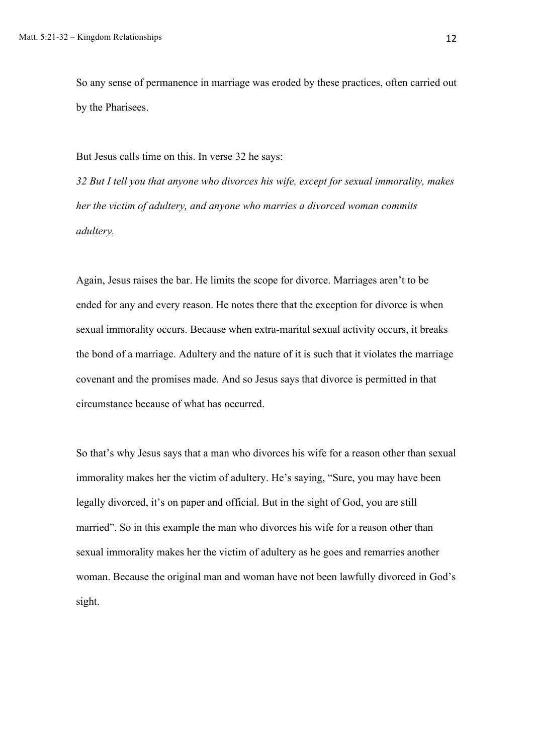So any sense of permanence in marriage was eroded by these practices, often carried out by the Pharisees.

But Jesus calls time on this. In verse 32 he says:

*32 But I tell you that anyone who divorces his wife, except for sexual immorality, makes her the victim of adultery, and anyone who marries a divorced woman commits adultery.*

Again, Jesus raises the bar. He limits the scope for divorce. Marriages aren't to be ended for any and every reason. He notes there that the exception for divorce is when sexual immorality occurs. Because when extra-marital sexual activity occurs, it breaks the bond of a marriage. Adultery and the nature of it is such that it violates the marriage covenant and the promises made. And so Jesus says that divorce is permitted in that circumstance because of what has occurred.

So that's why Jesus says that a man who divorces his wife for a reason other than sexual immorality makes her the victim of adultery. He's saying, "Sure, you may have been legally divorced, it's on paper and official. But in the sight of God, you are still married". So in this example the man who divorces his wife for a reason other than sexual immorality makes her the victim of adultery as he goes and remarries another woman. Because the original man and woman have not been lawfully divorced in God's sight.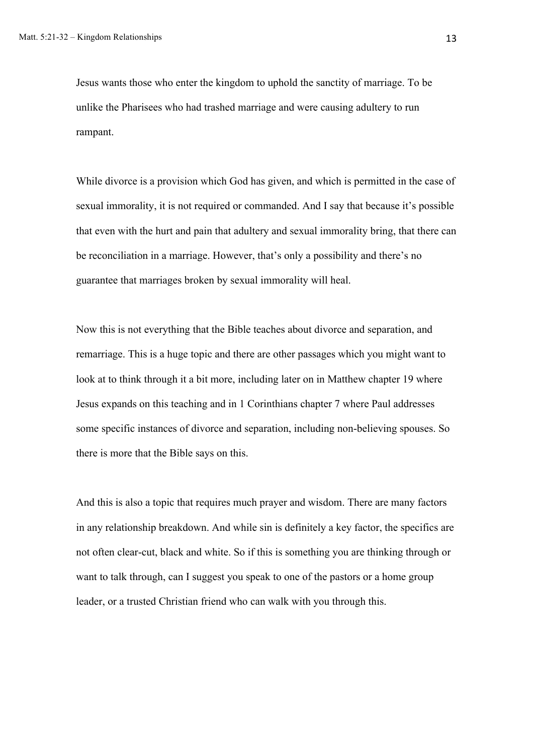Jesus wants those who enter the kingdom to uphold the sanctity of marriage. To be unlike the Pharisees who had trashed marriage and were causing adultery to run rampant.

While divorce is a provision which God has given, and which is permitted in the case of sexual immorality, it is not required or commanded. And I say that because it's possible that even with the hurt and pain that adultery and sexual immorality bring, that there can be reconciliation in a marriage. However, that's only a possibility and there's no guarantee that marriages broken by sexual immorality will heal.

Now this is not everything that the Bible teaches about divorce and separation, and remarriage. This is a huge topic and there are other passages which you might want to look at to think through it a bit more, including later on in Matthew chapter 19 where Jesus expands on this teaching and in 1 Corinthians chapter 7 where Paul addresses some specific instances of divorce and separation, including non-believing spouses. So there is more that the Bible says on this.

And this is also a topic that requires much prayer and wisdom. There are many factors in any relationship breakdown. And while sin is definitely a key factor, the specifics are not often clear-cut, black and white. So if this is something you are thinking through or want to talk through, can I suggest you speak to one of the pastors or a home group leader, or a trusted Christian friend who can walk with you through this.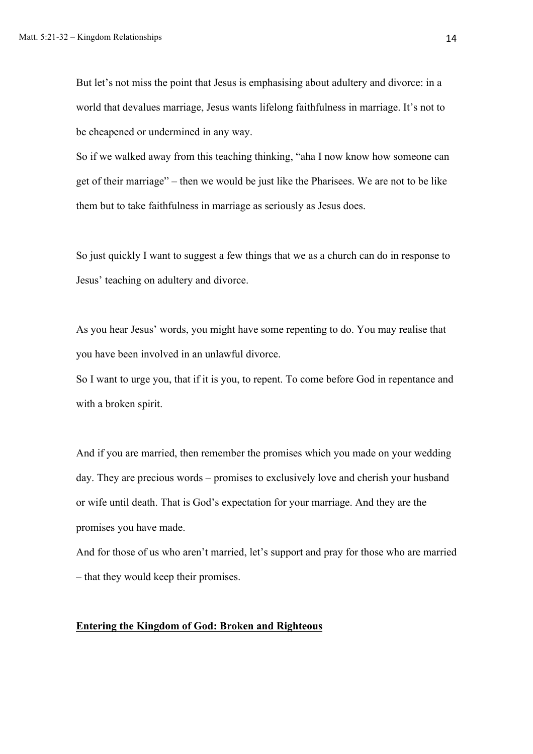But let's not miss the point that Jesus is emphasising about adultery and divorce: in a world that devalues marriage, Jesus wants lifelong faithfulness in marriage. It's not to be cheapened or undermined in any way.

So if we walked away from this teaching thinking, "aha I now know how someone can get of their marriage" – then we would be just like the Pharisees. We are not to be like them but to take faithfulness in marriage as seriously as Jesus does.

So just quickly I want to suggest a few things that we as a church can do in response to Jesus' teaching on adultery and divorce.

As you hear Jesus' words, you might have some repenting to do. You may realise that you have been involved in an unlawful divorce.

So I want to urge you, that if it is you, to repent. To come before God in repentance and with a broken spirit.

And if you are married, then remember the promises which you made on your wedding day. They are precious words – promises to exclusively love and cherish your husband or wife until death. That is God's expectation for your marriage. And they are the promises you have made.

And for those of us who aren't married, let's support and pray for those who are married – that they would keep their promises.

## **Entering the Kingdom of God: Broken and Righteous**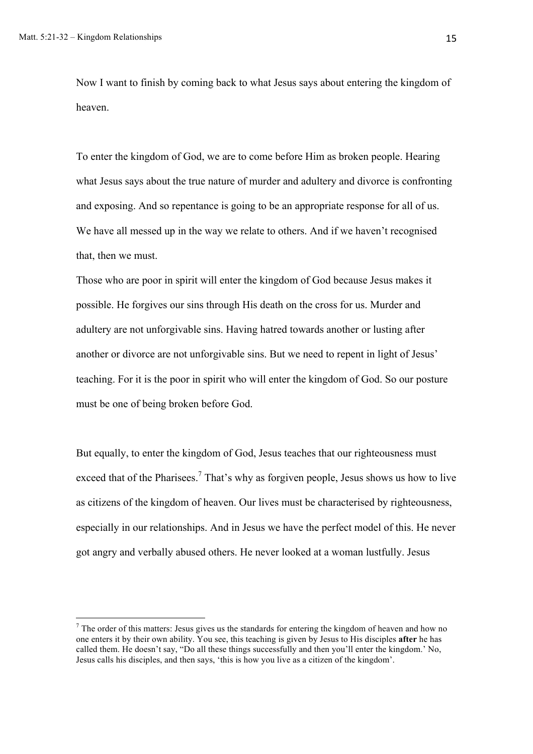Now I want to finish by coming back to what Jesus says about entering the kingdom of heaven.

To enter the kingdom of God, we are to come before Him as broken people. Hearing what Jesus says about the true nature of murder and adultery and divorce is confronting and exposing. And so repentance is going to be an appropriate response for all of us. We have all messed up in the way we relate to others. And if we haven't recognised that, then we must.

Those who are poor in spirit will enter the kingdom of God because Jesus makes it possible. He forgives our sins through His death on the cross for us. Murder and adultery are not unforgivable sins. Having hatred towards another or lusting after another or divorce are not unforgivable sins. But we need to repent in light of Jesus' teaching. For it is the poor in spirit who will enter the kingdom of God. So our posture must be one of being broken before God.

But equally, to enter the kingdom of God, Jesus teaches that our righteousness must exceed that of the Pharisees.<sup>7</sup> That's why as forgiven people, Jesus shows us how to live as citizens of the kingdom of heaven. Our lives must be characterised by righteousness, especially in our relationships. And in Jesus we have the perfect model of this. He never got angry and verbally abused others. He never looked at a woman lustfully. Jesus

 $<sup>7</sup>$  The order of this matters: Jesus gives us the standards for entering the kingdom of heaven and how no</sup> one enters it by their own ability. You see, this teaching is given by Jesus to His disciples **after** he has called them. He doesn't say, "Do all these things successfully and then you'll enter the kingdom.' No, Jesus calls his disciples, and then says, 'this is how you live as a citizen of the kingdom'.